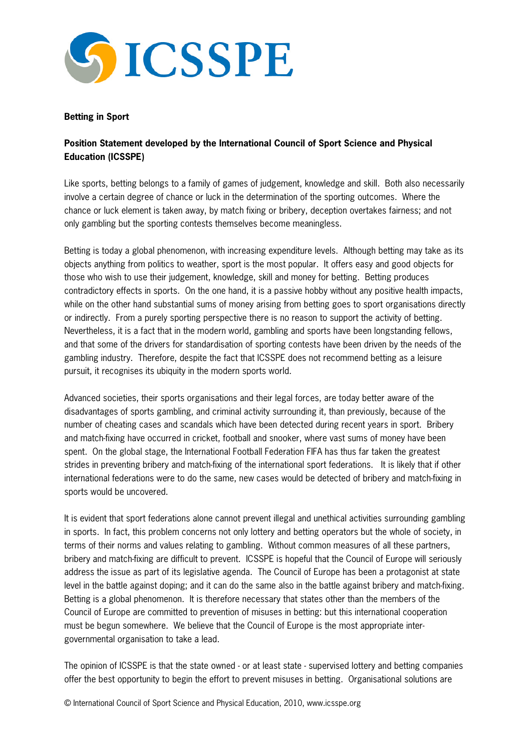

## **Betting in Sport**

## **Position Statement developed by the International Council of Sport Science and Physical Education (ICSSPE)**

Like sports, betting belongs to a family of games of judgement, knowledge and skill. Both also necessarily involve a certain degree of chance or luck in the determination of the sporting outcomes. Where the chance or luck element is taken away, by match fixing or bribery, deception overtakes fairness; and not only gambling but the sporting contests themselves become meaningless.

Betting is today a global phenomenon, with increasing expenditure levels. Although betting may take as its objects anything from politics to weather, sport is the most popular. It offers easy and good objects for those who wish to use their judgement, knowledge, skill and money for betting. Betting produces contradictory effects in sports. On the one hand, it is a passive hobby without any positive health impacts, while on the other hand substantial sums of money arising from betting goes to sport organisations directly or indirectly. From a purely sporting perspective there is no reason to support the activity of betting. Nevertheless, it is a fact that in the modern world, gambling and sports have been longstanding fellows, and that some of the drivers for standardisation of sporting contests have been driven by the needs of the gambling industry. Therefore, despite the fact that ICSSPE does not recommend betting as a leisure pursuit, it recognises its ubiquity in the modern sports world.

Advanced societies, their sports organisations and their legal forces, are today better aware of the disadvantages of sports gambling, and criminal activity surrounding it, than previously, because of the number of cheating cases and scandals which have been detected during recent years in sport. Bribery and match-fixing have occurred in cricket, football and snooker, where vast sums of money have been spent. On the global stage, the International Football Federation FIFA has thus far taken the greatest strides in preventing bribery and match-fixing of the international sport federations. It is likely that if other international federations were to do the same, new cases would be detected of bribery and match-fixing in sports would be uncovered.

It is evident that sport federations alone cannot prevent illegal and unethical activities surrounding gambling in sports. In fact, this problem concerns not only lottery and betting operators but the whole of society, in terms of their norms and values relating to gambling. Without common measures of all these partners, bribery and match-fixing are difficult to prevent. ICSSPE is hopeful that the Council of Europe will seriously address the issue as part of its legislative agenda. The Council of Europe has been a protagonist at state level in the battle against doping; and it can do the same also in the battle against bribery and match-fixing. Betting is a global phenomenon. It is therefore necessary that states other than the members of the Council of Europe are committed to prevention of misuses in betting: but this international cooperation must be begun somewhere. We believe that the Council of Europe is the most appropriate intergovernmental organisation to take a lead.

The opinion of ICSSPE is that the state owned - or at least state - supervised lottery and betting companies offer the best opportunity to begin the effort to prevent misuses in betting. Organisational solutions are